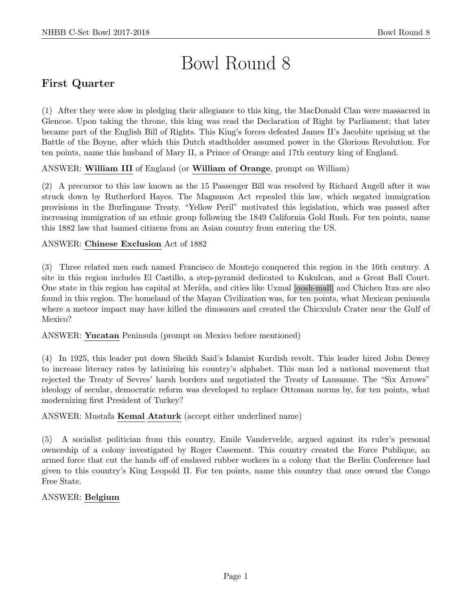# Bowl Round 8

# First Quarter

(1) After they were slow in pledging their allegiance to this king, the MacDonald Clan were massacred in Glencoe. Upon taking the throne, this king was read the Declaration of Right by Parliament; that later became part of the English Bill of Rights. This King's forces defeated James II's Jacobite uprising at the Battle of the Boyne, after which this Dutch stadtholder assumed power in the Glorious Revolution. For ten points, name this husband of Mary II, a Prince of Orange and 17th century king of England.

ANSWER: William III of England (or William of Orange, prompt on William)

(2) A precursor to this law known as the 15 Passenger Bill was resolved by Richard Angell after it was struck down by Rutherford Hayes. The Magnuson Act repealed this law, which negated immigration provisions in the Burlingame Treaty. "Yellow Peril" motivated this legislation, which was passed after increasing immigration of an ethnic group following the 1849 California Gold Rush. For ten points, name this 1882 law that banned citizens from an Asian country from entering the US.

#### ANSWER: Chinese Exclusion Act of 1882

(3) Three related men each named Francisco de Montejo conquered this region in the 16th century. A site in this region includes El Castillo, a step-pyramid dedicated to Kukulcan, and a Great Ball Court. One state in this region has capital at Merída, and cities like Uxmal [oosh-mall] and Chichen Itza are also found in this region. The homeland of the Mayan Civilization was, for ten points, what Mexican peninsula where a meteor impact may have killed the dinosaurs and created the Chicxulub Crater near the Gulf of Mexico?

ANSWER: Yucatan Peninsula (prompt on Mexico before mentioned)

(4) In 1925, this leader put down Sheikh Said's Islamist Kurdish revolt. This leader hired John Dewey to increase literacy rates by latinizing his country's alphabet. This man led a national movement that rejected the Treaty of Sevres' harsh borders and negotiated the Treaty of Lausanne. The "Six Arrows" ideology of secular, democratic reform was developed to replace Ottoman norms by, for ten points, what modernizing first President of Turkey?

#### ANSWER: Mustafa Kemal Ataturk (accept either underlined name)

(5) A socialist politician from this country, Emile Vandervelde, argued against its ruler's personal ownership of a colony investigated by Roger Casement. This country created the Force Publique, an armed force that cut the hands off of enslaved rubber workers in a colony that the Berlin Conference had given to this country's King Leopold II. For ten points, name this country that once owned the Congo Free State.

#### ANSWER: Belgium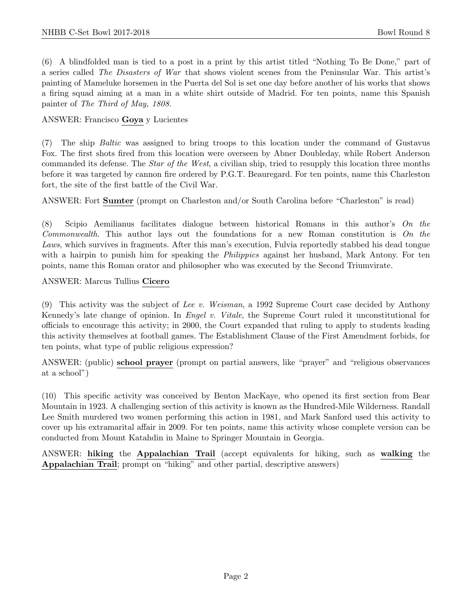(6) A blindfolded man is tied to a post in a print by this artist titled "Nothing To Be Done," part of a series called The Disasters of War that shows violent scenes from the Peninsular War. This artist's painting of Mameluke horsemen in the Puerta del Sol is set one day before another of his works that shows a firing squad aiming at a man in a white shirt outside of Madrid. For ten points, name this Spanish painter of The Third of May, 1808.

#### ANSWER: Francisco Goya y Lucientes

(7) The ship Baltic was assigned to bring troops to this location under the command of Gustavus Fox. The first shots fired from this location were overseen by Abner Doubleday, while Robert Anderson commanded its defense. The Star of the West, a civilian ship, tried to resupply this location three months before it was targeted by cannon fire ordered by P.G.T. Beauregard. For ten points, name this Charleston fort, the site of the first battle of the Civil War.

ANSWER: Fort Sumter (prompt on Charleston and/or South Carolina before "Charleston" is read)

(8) Scipio Aemilianus facilitates dialogue between historical Romans in this author's  $\overline{On}$  the Commonwealth. This author lays out the foundations for a new Roman constitution is On the Laws, which survives in fragments. After this man's execution, Fulvia reportedly stabbed his dead tongue with a hairpin to punish him for speaking the *Philippics* against her husband, Mark Antony. For ten points, name this Roman orator and philosopher who was executed by the Second Triumvirate.

ANSWER: Marcus Tullius Cicero

(9) This activity was the subject of Lee v. Weisman, a 1992 Supreme Court case decided by Anthony Kennedy's late change of opinion. In Engel v. Vitale, the Supreme Court ruled it unconstitutional for officials to encourage this activity; in 2000, the Court expanded that ruling to apply to students leading this activity themselves at football games. The Establishment Clause of the First Amendment forbids, for ten points, what type of public religious expression?

ANSWER: (public) school prayer (prompt on partial answers, like "prayer" and "religious observances at a school")

(10) This specific activity was conceived by Benton MacKaye, who opened its first section from Bear Mountain in 1923. A challenging section of this activity is known as the Hundred-Mile Wilderness. Randall Lee Smith murdered two women performing this action in 1981, and Mark Sanford used this activity to cover up his extramarital affair in 2009. For ten points, name this activity whose complete version can be conducted from Mount Katahdin in Maine to Springer Mountain in Georgia.

ANSWER: hiking the Appalachian Trail (accept equivalents for hiking, such as walking the Appalachian Trail; prompt on "hiking" and other partial, descriptive answers)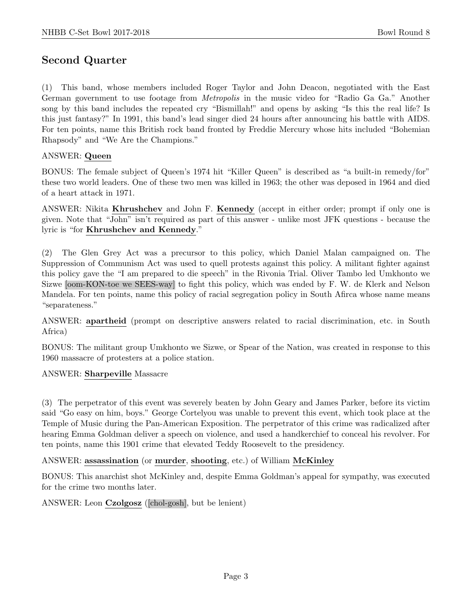## Second Quarter

(1) This band, whose members included Roger Taylor and John Deacon, negotiated with the East German government to use footage from Metropolis in the music video for "Radio Ga Ga." Another song by this band includes the repeated cry "Bismillah!" and opens by asking "Is this the real life? Is this just fantasy?" In 1991, this band's lead singer died 24 hours after announcing his battle with AIDS. For ten points, name this British rock band fronted by Freddie Mercury whose hits included "Bohemian Rhapsody" and "We Are the Champions."

#### ANSWER: Queen

BONUS: The female subject of Queen's 1974 hit "Killer Queen" is described as "a built-in remedy/for" these two world leaders. One of these two men was killed in 1963; the other was deposed in 1964 and died of a heart attack in 1971.

ANSWER: Nikita Khrushchev and John F. Kennedy (accept in either order; prompt if only one is given. Note that "John" isn't required as part of this answer - unlike most JFK questions - because the lyric is "for Khrushchev and Kennedy."

(2) The Glen Grey Act was a precursor to this policy, which Daniel Malan campaigned on. The Suppression of Communism Act was used to quell protests against this policy. A militant fighter against this policy gave the "I am prepared to die speech" in the Rivonia Trial. Oliver Tambo led Umkhonto we Sizwe [oom-KON-toe we SEES-way] to fight this policy, which was ended by F. W. de Klerk and Nelson Mandela. For ten points, name this policy of racial segregation policy in South Afirca whose name means "separateness."

ANSWER: apartheid (prompt on descriptive answers related to racial discrimination, etc. in South Africa)

BONUS: The militant group Umkhonto we Sizwe, or Spear of the Nation, was created in response to this 1960 massacre of protesters at a police station.

#### ANSWER: Sharpeville Massacre

(3) The perpetrator of this event was severely beaten by John Geary and James Parker, before its victim said "Go easy on him, boys." George Cortelyou was unable to prevent this event, which took place at the Temple of Music during the Pan-American Exposition. The perpetrator of this crime was radicalized after hearing Emma Goldman deliver a speech on violence, and used a handkerchief to conceal his revolver. For ten points, name this 1901 crime that elevated Teddy Roosevelt to the presidency.

#### ANSWER: assassination (or murder, shooting, etc.) of William McKinley

BONUS: This anarchist shot McKinley and, despite Emma Goldman's appeal for sympathy, was executed for the crime two months later.

ANSWER: Leon Czolgosz ([chol-gosh], but be lenient)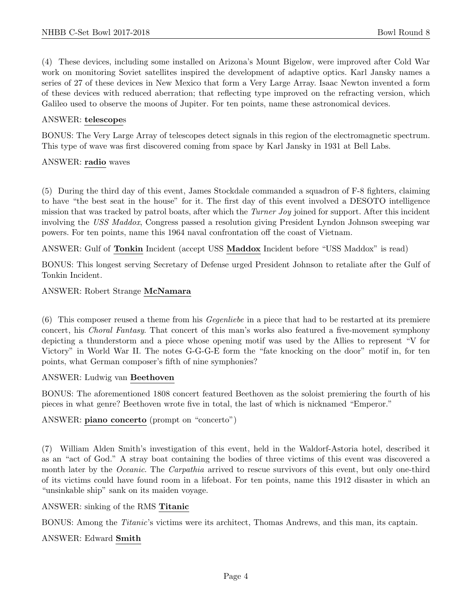(4) These devices, including some installed on Arizona's Mount Bigelow, were improved after Cold War work on monitoring Soviet satellites inspired the development of adaptive optics. Karl Jansky names a series of 27 of these devices in New Mexico that form a Very Large Array. Isaac Newton invented a form of these devices with reduced aberration; that reflecting type improved on the refracting version, which Galileo used to observe the moons of Jupiter. For ten points, name these astronomical devices.

#### ANSWER: telescopes

BONUS: The Very Large Array of telescopes detect signals in this region of the electromagnetic spectrum. This type of wave was first discovered coming from space by Karl Jansky in 1931 at Bell Labs.

#### ANSWER: radio waves

(5) During the third day of this event, James Stockdale commanded a squadron of F-8 fighters, claiming to have "the best seat in the house" for it. The first day of this event involved a DESOTO intelligence mission that was tracked by patrol boats, after which the Turner Joy joined for support. After this incident involving the USS Maddox, Congress passed a resolution giving President Lyndon Johnson sweeping war powers. For ten points, name this 1964 naval confrontation off the coast of Vietnam.

ANSWER: Gulf of Tonkin Incident (accept USS Maddox Incident before "USS Maddox" is read)

BONUS: This longest serving Secretary of Defense urged President Johnson to retaliate after the Gulf of Tonkin Incident.

ANSWER: Robert Strange McNamara

(6) This composer reused a theme from his Gegenliebe in a piece that had to be restarted at its premiere concert, his Choral Fantasy. That concert of this man's works also featured a five-movement symphony depicting a thunderstorm and a piece whose opening motif was used by the Allies to represent "V for Victory" in World War II. The notes G-G-G-E form the "fate knocking on the door" motif in, for ten points, what German composer's fifth of nine symphonies?

#### ANSWER: Ludwig van Beethoven

BONUS: The aforementioned 1808 concert featured Beethoven as the soloist premiering the fourth of his pieces in what genre? Beethoven wrote five in total, the last of which is nicknamed "Emperor."

ANSWER: piano concerto (prompt on "concerto")

(7) William Alden Smith's investigation of this event, held in the Waldorf-Astoria hotel, described it as an "act of God." A stray boat containing the bodies of three victims of this event was discovered a month later by the *Oceanic*. The *Carpathia* arrived to rescue survivors of this event, but only one-third of its victims could have found room in a lifeboat. For ten points, name this 1912 disaster in which an "unsinkable ship" sank on its maiden voyage.

#### ANSWER: sinking of the RMS Titanic

BONUS: Among the Titanic's victims were its architect, Thomas Andrews, and this man, its captain.

#### ANSWER: Edward Smith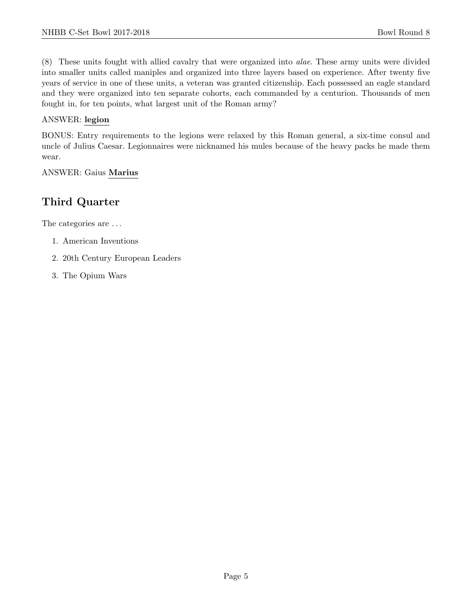(8) These units fought with allied cavalry that were organized into alae. These army units were divided into smaller units called maniples and organized into three layers based on experience. After twenty five years of service in one of these units, a veteran was granted citizenship. Each possessed an eagle standard and they were organized into ten separate cohorts, each commanded by a centurion. Thousands of men fought in, for ten points, what largest unit of the Roman army?

#### ANSWER: legion

BONUS: Entry requirements to the legions were relaxed by this Roman general, a six-time consul and uncle of Julius Caesar. Legionnaires were nicknamed his mules because of the heavy packs he made them wear.

#### ANSWER: Gaius Marius

## Third Quarter

The categories are  $\dots$ 

- 1. American Inventions
- 2. 20th Century European Leaders
- 3. The Opium Wars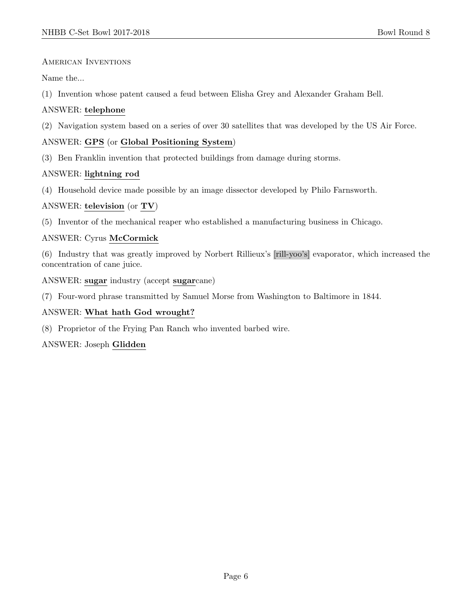AMERICAN INVENTIONS

Name the...

(1) Invention whose patent caused a feud between Elisha Grey and Alexander Graham Bell.

#### ANSWER: telephone

(2) Navigation system based on a series of over 30 satellites that was developed by the US Air Force.

#### ANSWER: GPS (or Global Positioning System)

(3) Ben Franklin invention that protected buildings from damage during storms.

#### ANSWER: lightning rod

(4) Household device made possible by an image dissector developed by Philo Farnsworth.

#### ANSWER: television (or TV)

(5) Inventor of the mechanical reaper who established a manufacturing business in Chicago.

#### ANSWER: Cyrus McCormick

(6) Industry that was greatly improved by Norbert Rillieux's [rill-yoo's] evaporator, which increased the concentration of cane juice.

ANSWER: sugar industry (accept sugarcane)

(7) Four-word phrase transmitted by Samuel Morse from Washington to Baltimore in 1844.

#### ANSWER: What hath God wrought?

(8) Proprietor of the Frying Pan Ranch who invented barbed wire.

#### ANSWER: Joseph Glidden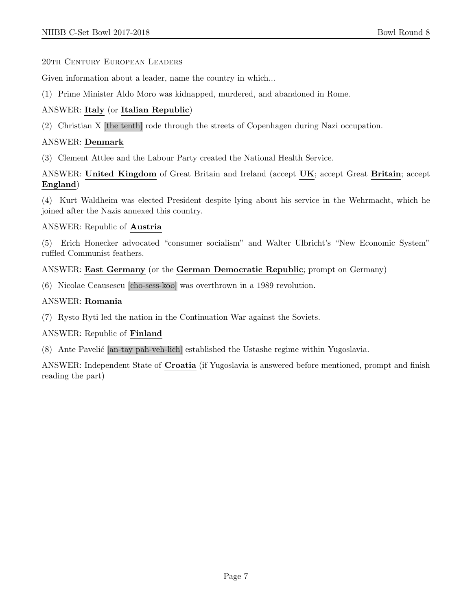20th Century European Leaders

Given information about a leader, name the country in which...

(1) Prime Minister Aldo Moro was kidnapped, murdered, and abandoned in Rome.

#### ANSWER: Italy (or Italian Republic)

(2) Christian X [the tenth] rode through the streets of Copenhagen during Nazi occupation.

#### ANSWER: Denmark

(3) Clement Attlee and the Labour Party created the National Health Service.

ANSWER: United Kingdom of Great Britain and Ireland (accept UK; accept Great Britain; accept England)

(4) Kurt Waldheim was elected President despite lying about his service in the Wehrmacht, which he joined after the Nazis annexed this country.

#### ANSWER: Republic of Austria

(5) Erich Honecker advocated "consumer socialism" and Walter Ulbricht's "New Economic System" ruffled Communist feathers.

#### ANSWER: East Germany (or the German Democratic Republic; prompt on Germany)

(6) Nicolae Ceausescu [cho-sess-koo] was overthrown in a 1989 revolution.

#### ANSWER: Romania

(7) Rysto Ryti led the nation in the Continuation War against the Soviets.

#### ANSWER: Republic of Finland

(8) Ante Pavelić [an-tay pah-veh-lich] established the Ustashe regime within Yugoslavia.

ANSWER: Independent State of Croatia (if Yugoslavia is answered before mentioned, prompt and finish reading the part)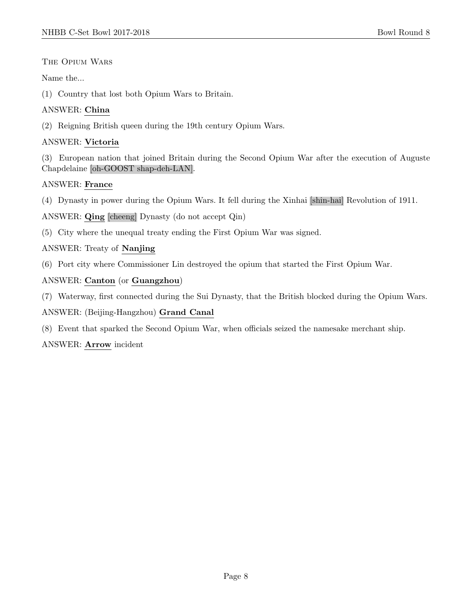#### The Opium Wars

#### Name the...

(1) Country that lost both Opium Wars to Britain.

#### ANSWER: China

(2) Reigning British queen during the 19th century Opium Wars.

#### ANSWER: Victoria

(3) European nation that joined Britain during the Second Opium War after the execution of Auguste Chapdelaine [oh-GOOST shap-deh-LAN].

#### ANSWER: France

(4) Dynasty in power during the Opium Wars. It fell during the Xinhai [shin-hai] Revolution of 1911.

ANSWER: Qing [cheeng] Dynasty (do not accept Qin)

(5) City where the unequal treaty ending the First Opium War was signed.

#### ANSWER: Treaty of Nanjing

(6) Port city where Commissioner Lin destroyed the opium that started the First Opium War.

#### ANSWER: Canton (or Guangzhou)

(7) Waterway, first connected during the Sui Dynasty, that the British blocked during the Opium Wars.

#### ANSWER: (Beijing-Hangzhou) Grand Canal

(8) Event that sparked the Second Opium War, when officials seized the namesake merchant ship.

#### ANSWER: Arrow incident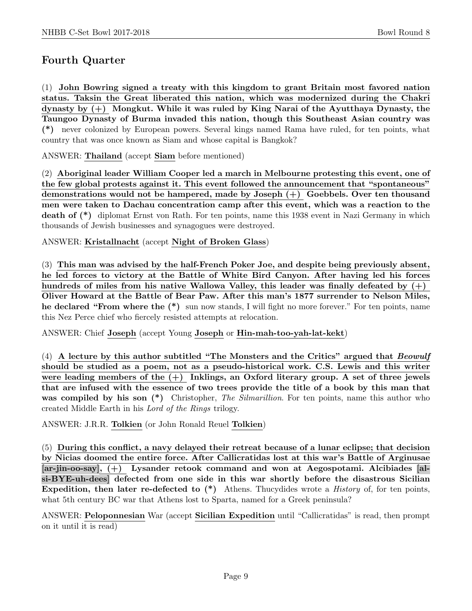## Fourth Quarter

(1) John Bowring signed a treaty with this kingdom to grant Britain most favored nation status. Taksin the Great liberated this nation, which was modernized during the Chakri dynasty by (+) Mongkut. While it was ruled by King Narai of the Ayutthaya Dynasty, the Taungoo Dynasty of Burma invaded this nation, though this Southeast Asian country was (\*) never colonized by European powers. Several kings named Rama have ruled, for ten points, what country that was once known as Siam and whose capital is Bangkok?

ANSWER: Thailand (accept Siam before mentioned)

(2) Aboriginal leader William Cooper led a march in Melbourne protesting this event, one of the few global protests against it. This event followed the announcement that "spontaneous" demonstrations would not be hampered, made by Joseph (+) Goebbels. Over ten thousand men were taken to Dachau concentration camp after this event, which was a reaction to the death of (\*) diplomat Ernst von Rath. For ten points, name this 1938 event in Nazi Germany in which thousands of Jewish businesses and synagogues were destroyed.

ANSWER: Kristallnacht (accept Night of Broken Glass)

(3) This man was advised by the half-French Poker Joe, and despite being previously absent, he led forces to victory at the Battle of White Bird Canyon. After having led his forces hundreds of miles from his native Wallowa Valley, this leader was finally defeated by  $(+)$ Oliver Howard at the Battle of Bear Paw. After this man's 1877 surrender to Nelson Miles, he declared "From where the  $(*)$  sun now stands, I will fight no more forever." For ten points, name this Nez Perce chief who fiercely resisted attempts at relocation.

ANSWER: Chief Joseph (accept Young Joseph or Hin-mah-too-yah-lat-kekt)

(4) A lecture by this author subtitled "The Monsters and the Critics" argued that Beowulf should be studied as a poem, not as a pseudo-historical work. C.S. Lewis and this writer were leading members of the  $(+)$  Inklings, an Oxford literary group. A set of three jewels that are infused with the essence of two trees provide the title of a book by this man that was compiled by his son (\*) Christopher, The Silmarillion. For ten points, name this author who created Middle Earth in his Lord of the Rings trilogy.

ANSWER: J.R.R. Tolkien (or John Ronald Reuel Tolkien)

(5) During this conflict, a navy delayed their retreat because of a lunar eclipse; that decision by Nicias doomed the entire force. After Callicratidas lost at this war's Battle of Arginusae [ar-jin-oo-say], (+) Lysander retook command and won at Aegospotami. Alcibiades [alsi-BYE-uh-dees] defected from one side in this war shortly before the disastrous Sicilian Expedition, then later re-defected to  $(*)$  Athens. Thucydides wrote a *History* of, for ten points, what 5th century BC war that Athens lost to Sparta, named for a Greek peninsula?

ANSWER: Peloponnesian War (accept Sicilian Expedition until "Callicratidas" is read, then prompt on it until it is read)